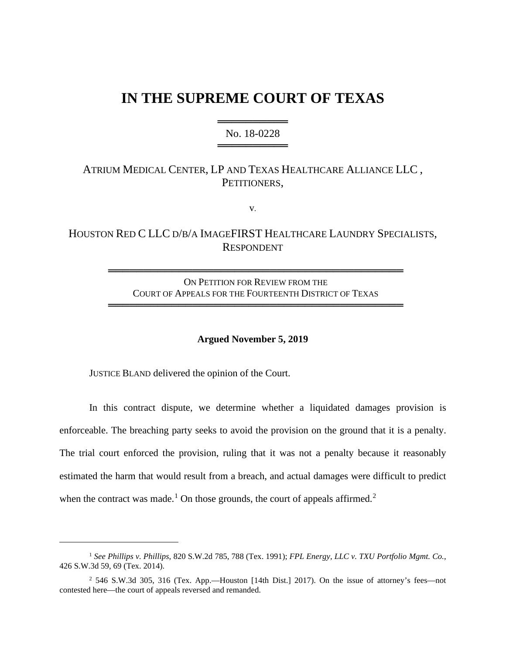# **IN THE SUPREME COURT OF TEXAS**

## ════════════════════════ No. 18-0228 ══════════════

# ATRIUM MEDICAL CENTER, LP AND TEXAS HEALTHCARE ALLIANCE LLC , PETITIONERS,

v.

# HOUSTON RED C LLC D/B/A IMAGEFIRST HEALTHCARE LAUNDRY SPECIALISTS, RESPONDENT

ON PETITION FOR REVIEW FROM THE COURT OF APPEALS FOR THE FOURTEENTH DISTRICT OF TEXAS

══════════════════════════════════════════

══════════════════════════════════════════

#### **Argued November 5, 2019**

JUSTICE BLAND delivered the opinion of the Court.

In this contract dispute, we determine whether a liquidated damages provision is enforceable. The breaching party seeks to avoid the provision on the ground that it is a penalty. The trial court enforced the provision, ruling that it was not a penalty because it reasonably estimated the harm that would result from a breach, and actual damages were difficult to predict when the contract was made.<sup>[1](#page-0-0)</sup> On those grounds, the court of appeals affirmed.<sup>[2](#page-0-1)</sup>

<span id="page-0-0"></span><sup>1</sup> *See Phillips v. Phillips*, 820 S.W.2d 785, 788 (Tex. 1991); *FPL Energy, LLC v. TXU Portfolio Mgmt. Co.*, 426 S.W.3d 59, 69 (Tex. 2014).

<span id="page-0-1"></span><sup>2</sup> 546 S.W.3d 305, 316 (Tex. App.—Houston [14th Dist.] 2017). On the issue of attorney's fees—not contested here—the court of appeals reversed and remanded.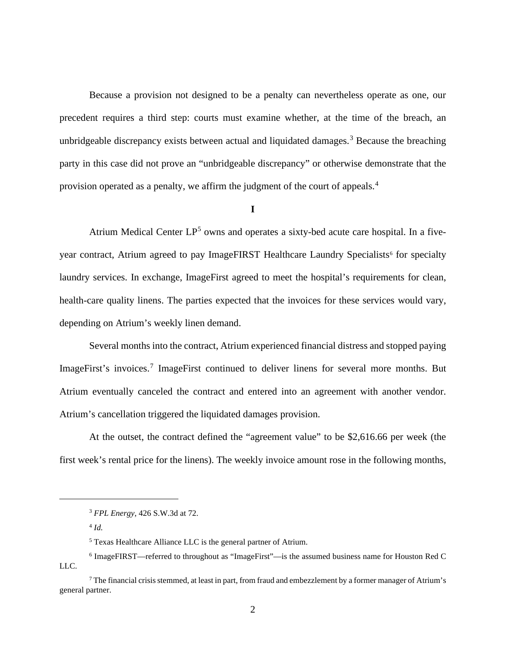Because a provision not designed to be a penalty can nevertheless operate as one, our precedent requires a third step: courts must examine whether, at the time of the breach, an unbridgeable discrepancy exists between actual and liquidated damages.<sup>[3](#page-1-0)</sup> Because the breaching party in this case did not prove an "unbridgeable discrepancy" or otherwise demonstrate that the provision operated as a penalty, we affirm the judgment of the court of appeals.<sup>[4](#page-1-1)</sup>

## **I**

Atrium Medical Center LP<sup>[5](#page-1-2)</sup> owns and operates a sixty-bed acute care hospital. In a five-year contract, Atrium agreed to pay ImageFIRST Healthcare Laundry Specialists<sup>[6](#page-1-3)</sup> for specialty laundry services. In exchange, ImageFirst agreed to meet the hospital's requirements for clean, health-care quality linens. The parties expected that the invoices for these services would vary, depending on Atrium's weekly linen demand.

Several months into the contract, Atrium experienced financial distress and stopped paying ImageFirst's invoices.<sup>[7](#page-1-4)</sup> ImageFirst continued to deliver linens for several more months. But Atrium eventually canceled the contract and entered into an agreement with another vendor. Atrium's cancellation triggered the liquidated damages provision.

At the outset, the contract defined the "agreement value" to be \$2,616.66 per week (the first week's rental price for the linens). The weekly invoice amount rose in the following months,

<sup>3</sup> *FPL Energy*, 426 S.W.3d at 72.

<sup>4</sup> *Id.*

<sup>5</sup> Texas Healthcare Alliance LLC is the general partner of Atrium.

<span id="page-1-3"></span><span id="page-1-2"></span><span id="page-1-1"></span><span id="page-1-0"></span><sup>6</sup> ImageFIRST—referred to throughout as "ImageFirst"—is the assumed business name for Houston Red C LLC.

<span id="page-1-4"></span><sup>7</sup> The financial crisis stemmed, at least in part, from fraud and embezzlement by a former manager of Atrium's general partner.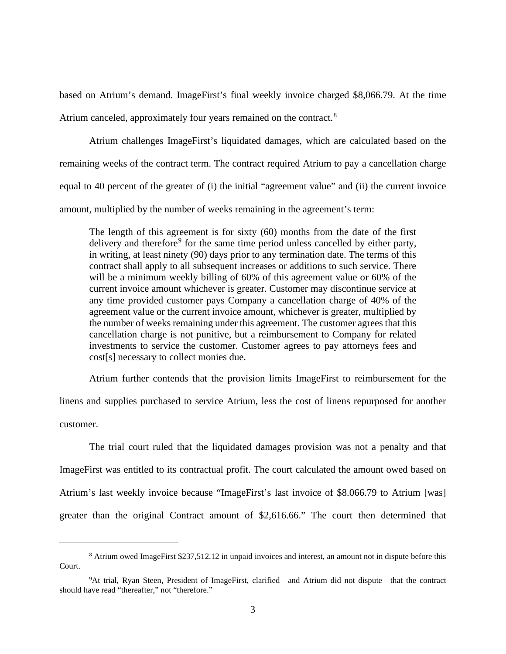based on Atrium's demand. ImageFirst's final weekly invoice charged \$8,066.79. At the time Atrium canceled, approximately four years remained on the contract.<sup>[8](#page-2-0)</sup>

Atrium challenges ImageFirst's liquidated damages, which are calculated based on the remaining weeks of the contract term. The contract required Atrium to pay a cancellation charge equal to 40 percent of the greater of (i) the initial "agreement value" and (ii) the current invoice amount, multiplied by the number of weeks remaining in the agreement's term:

The length of this agreement is for sixty (60) months from the date of the first delivery and therefore<sup>[9](#page-2-1)</sup> for the same time period unless cancelled by either party, in writing, at least ninety (90) days prior to any termination date. The terms of this contract shall apply to all subsequent increases or additions to such service. There will be a minimum weekly billing of 60% of this agreement value or 60% of the current invoice amount whichever is greater. Customer may discontinue service at any time provided customer pays Company a cancellation charge of 40% of the agreement value or the current invoice amount, whichever is greater, multiplied by the number of weeks remaining under this agreement. The customer agrees that this cancellation charge is not punitive, but a reimbursement to Company for related investments to service the customer. Customer agrees to pay attorneys fees and cost[s] necessary to collect monies due.

Atrium further contends that the provision limits ImageFirst to reimbursement for the

linens and supplies purchased to service Atrium, less the cost of linens repurposed for another customer.

The trial court ruled that the liquidated damages provision was not a penalty and that ImageFirst was entitled to its contractual profit. The court calculated the amount owed based on Atrium's last weekly invoice because "ImageFirst's last invoice of \$8.066.79 to Atrium [was] greater than the original Contract amount of \$2,616.66." The court then determined that

<span id="page-2-0"></span><sup>8</sup> Atrium owed ImageFirst \$237,512.12 in unpaid invoices and interest, an amount not in dispute before this Court.

<span id="page-2-1"></span><sup>&</sup>lt;sup>9</sup>At trial, Ryan Steen, President of ImageFirst, clarified—and Atrium did not dispute—that the contract should have read "thereafter," not "therefore."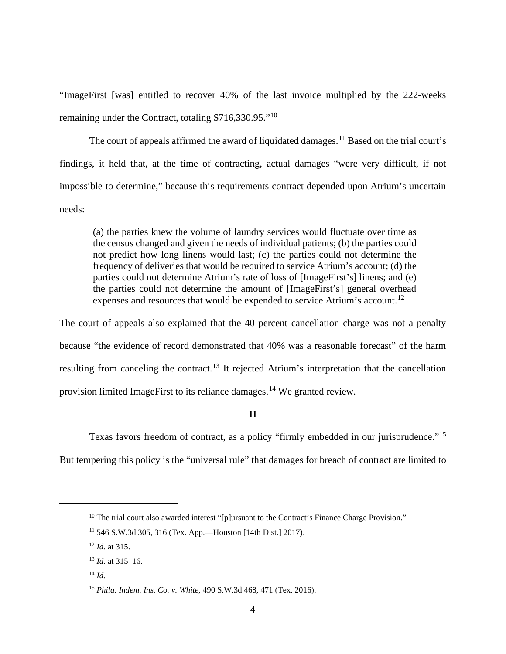"ImageFirst [was] entitled to recover 40% of the last invoice multiplied by the 222-weeks remaining under the Contract, totaling \$716,330.95."<sup>[10](#page-3-0)</sup>

The court of appeals affirmed the award of liquidated damages.<sup>[11](#page-3-1)</sup> Based on the trial court's findings, it held that, at the time of contracting, actual damages "were very difficult, if not impossible to determine," because this requirements contract depended upon Atrium's uncertain needs:

(a) the parties knew the volume of laundry services would fluctuate over time as the census changed and given the needs of individual patients; (b) the parties could not predict how long linens would last; (c) the parties could not determine the frequency of deliveries that would be required to service Atrium's account; (d) the parties could not determine Atrium's rate of loss of [ImageFirst's] linens; and (e) the parties could not determine the amount of [ImageFirst's] general overhead expenses and resources that would be expended to service Atrium's account.<sup>[12](#page-3-2)</sup>

The court of appeals also explained that the 40 percent cancellation charge was not a penalty because "the evidence of record demonstrated that 40% was a reasonable forecast" of the harm resulting from canceling the contract.<sup>[13](#page-3-3)</sup> It rejected Atrium's interpretation that the cancellation provision limited ImageFirst to its reliance damages.<sup>[14](#page-3-4)</sup> We granted review.

## **II**

Texas favors freedom of contract, as a policy "firmly embedded in our jurisprudence."<sup>[15](#page-3-5)</sup>

<span id="page-3-0"></span>But tempering this policy is the "universal rule" that damages for breach of contract are limited to

<sup>&</sup>lt;sup>10</sup> The trial court also awarded interest "[p]ursuant to the Contract's Finance Charge Provision."

<span id="page-3-1"></span><sup>11</sup> 546 S.W.3d 305, 316 (Tex. App.—Houston [14th Dist.] 2017).

<span id="page-3-2"></span><sup>12</sup> *Id.* at 315.

<span id="page-3-3"></span><sup>13</sup> *Id.* at 315–16.

<span id="page-3-4"></span><sup>14</sup> *Id.*

<span id="page-3-5"></span><sup>15</sup> *Phila. Indem. Ins. Co. v. White*, 490 S.W.3d 468, 471 (Tex. 2016).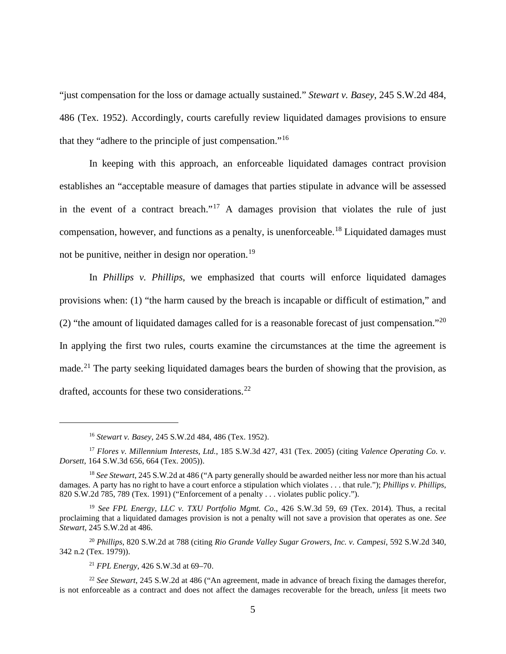"just compensation for the loss or damage actually sustained." *Stewart v. Basey*, 245 S.W.2d 484, 486 (Tex. 1952). Accordingly, courts carefully review liquidated damages provisions to ensure that they "adhere to the principle of just compensation."[16](#page-4-0)

In keeping with this approach, an enforceable liquidated damages contract provision establishes an "acceptable measure of damages that parties stipulate in advance will be assessed in the event of a contract breach."<sup>[17](#page-4-1)</sup> A damages provision that violates the rule of just compensation, however, and functions as a penalty, is unenforceable.<sup>[18](#page-4-2)</sup> Liquidated damages must not be punitive, neither in design nor operation.<sup>[19](#page-4-3)</sup>

In *Phillips v. Phillips*, we emphasized that courts will enforce liquidated damages provisions when: (1) "the harm caused by the breach is incapable or difficult of estimation," and (2) "the amount of liquidated damages called for is a reasonable forecast of just compensation."<sup>[20](#page-4-4)</sup> In applying the first two rules, courts examine the circumstances at the time the agreement is made.<sup>[21](#page-4-5)</sup> The party seeking liquidated damages bears the burden of showing that the provision, as drafted, accounts for these two considerations.<sup>[22](#page-4-6)</sup>

<sup>16</sup> *Stewart v. Basey*, 245 S.W.2d 484, 486 (Tex. 1952).

<span id="page-4-1"></span><span id="page-4-0"></span><sup>17</sup> *Flores v. Millennium Interests, Ltd.*, 185 S.W.3d 427, 431 (Tex. 2005) (citing *[Valence Operating Co. v.](https://1.next.westlaw.com/Link/Document/FullText?findType=Y&serNum=2006635472&pubNum=0004644&originatingDoc=I543377a431bd11dab072a248d584787d&refType=RP&fi=co_pp_sp_4644_664&originationContext=document&transitionType=DocumentItem&contextData=(sc.UserEnteredCitation)#co_pp_sp_4644_664)  Dorsett,* [164 S.W.3d 656, 664 \(Tex.](https://1.next.westlaw.com/Link/Document/FullText?findType=Y&serNum=2006635472&pubNum=0004644&originatingDoc=I543377a431bd11dab072a248d584787d&refType=RP&fi=co_pp_sp_4644_664&originationContext=document&transitionType=DocumentItem&contextData=(sc.UserEnteredCitation)#co_pp_sp_4644_664) 2005)).

<span id="page-4-2"></span><sup>18</sup> *See Stewart*, 245 S.W.2d at 486 ("A party generally should be awarded neither less nor more than his actual damages. A party has no right to have a court enforce a stipulation which violates . . . that rule."); *Phillips v. Phillips*, 820 S.W.2d 785, 789 (Tex. 1991) ("Enforcement of a penalty . . . violates public policy.").

<span id="page-4-3"></span><sup>19</sup> *See FPL Energy, LLC v. TXU Portfolio Mgmt. Co.*, 426 S.W.3d 59, 69 (Tex. 2014). Thus, a recital proclaiming that a liquidated damages provision is not a penalty will not save a provision that operates as one. *See Stewart*, 245 S.W.2d at 486.

<span id="page-4-4"></span><sup>20</sup> *Phillips*, 820 S.W.2d at 788 (citing *Rio Grande Valley Sugar Growers, Inc. v. Campesi*, 592 S.W.2d 340, 342 n.2 (Tex. 1979)).

<sup>21</sup> *FPL Energy*, 426 S.W.3d at 69–70.

<span id="page-4-6"></span><span id="page-4-5"></span><sup>22</sup> *See Stewart*, 245 S.W.2d at 486 ("An agreement, made in advance of breach fixing the damages therefor, is not enforceable as a contract and does not affect the damages recoverable for the breach, *unless* [it meets two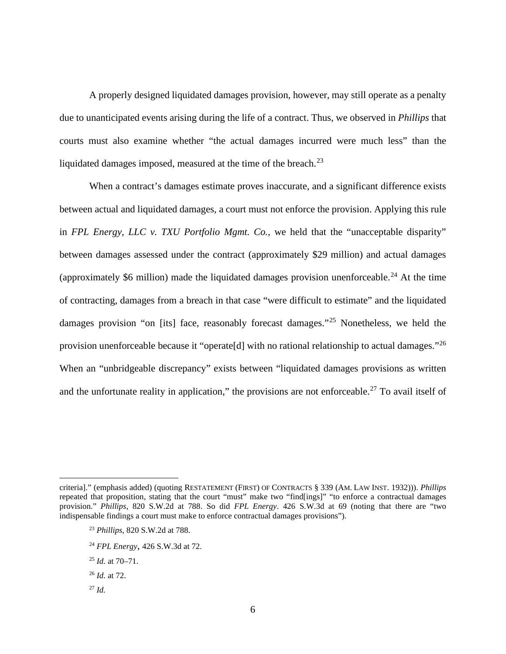A properly designed liquidated damages provision, however, may still operate as a penalty due to unanticipated events arising during the life of a contract. Thus, we observed in *Phillips* that courts must also examine whether "the actual damages incurred were much less" than the liquidated damages imposed, measured at the time of the breach.<sup>[23](#page-5-0)</sup>

When a contract's damages estimate proves inaccurate, and a significant difference exists between actual and liquidated damages, a court must not enforce the provision. Applying this rule in *FPL Energy, LLC v. TXU Portfolio Mgmt. Co.*, we held that the "unacceptable disparity" between damages assessed under the contract (approximately \$29 million) and actual damages (approximately \$6 million) made the liquidated damages provision unenforceable.<sup>[24](#page-5-1)</sup> At the time of contracting, damages from a breach in that case "were difficult to estimate" and the liquidated damages provision "on [its] face, reasonably forecast damages."<sup>[25](#page-5-2)</sup> Nonetheless, we held the provision unenforceable because it "operate<sup>[d]</sup> with no rational relationship to actual damages."<sup>[26](#page-5-3)</sup> When an "unbridgeable discrepancy" exists between "liquidated damages provisions as written and the unfortunate reality in application," the provisions are not enforceable.<sup>[27](#page-5-4)</sup> To avail itself of

- <sup>24</sup> *FPL Energy*, 426 S.W.3d at 72.
- <span id="page-5-2"></span><sup>25</sup> *Id.* at 70–71.
- <span id="page-5-3"></span><sup>26</sup> *Id.* at 72.
- <span id="page-5-4"></span><sup>27</sup> *Id.*

<span id="page-5-1"></span><span id="page-5-0"></span>criteria]." (emphasis added) (quoting RESTATEMENT (FIRST) OF CONTRACTS § 339 (AM. LAW INST. 1932))). *Phillips* repeated that proposition, stating that the court "must" make two "find[ings]" "to enforce a contractual damages provision." *Phillips*, 820 S.W.2d at 788. So did *FPL Energy*. 426 S.W.3d at 69 (noting that there are "two indispensable findings a court must make to enforce contractual damages provisions").

<sup>23</sup> *Phillips*, 820 S.W.2d at 788.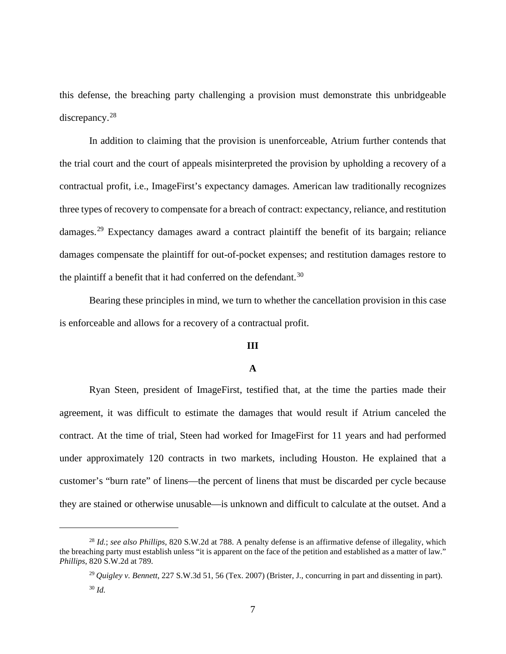this defense, the breaching party challenging a provision must demonstrate this unbridgeable discrepancy.<sup>[28](#page-6-0)</sup>

In addition to claiming that the provision is unenforceable, Atrium further contends that the trial court and the court of appeals misinterpreted the provision by upholding a recovery of a contractual profit, i.e., ImageFirst's expectancy damages. American law traditionally recognizes three types of recovery to compensate for a breach of contract: expectancy, reliance, and restitution damages.<sup>[29](#page-6-1)</sup> Expectancy damages award a contract plaintiff the benefit of its bargain; reliance damages compensate the plaintiff for out-of-pocket expenses; and restitution damages restore to the plaintiff a benefit that it had conferred on the defendant.<sup>[30](#page-6-2)</sup>

Bearing these principles in mind, we turn to whether the cancellation provision in this case is enforceable and allows for a recovery of a contractual profit.

#### **III**

## **A**

Ryan Steen, president of ImageFirst, testified that, at the time the parties made their agreement, it was difficult to estimate the damages that would result if Atrium canceled the contract. At the time of trial, Steen had worked for ImageFirst for 11 years and had performed under approximately 120 contracts in two markets, including Houston. He explained that a customer's "burn rate" of linens—the percent of linens that must be discarded per cycle because they are stained or otherwise unusable—is unknown and difficult to calculate at the outset. And a

<span id="page-6-2"></span><span id="page-6-1"></span><span id="page-6-0"></span><sup>28</sup> *Id.*; *see also Phillips*, 820 S.W.2d at 788. A penalty defense is an affirmative defense of illegality, which the breaching party must establish unless "it is apparent on the face of the petition and established as a matter of law." *Phillips*, 820 S.W.2d at 789.

<sup>29</sup> *Quigley v. Bennett*, 227 S.W.3d 51, 56 (Tex. 2007) (Brister, J., concurring in part and dissenting in part). <sup>30</sup> *Id.*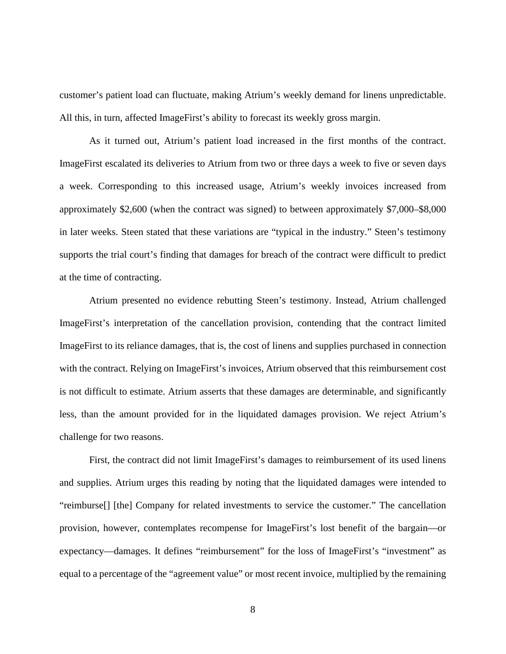customer's patient load can fluctuate, making Atrium's weekly demand for linens unpredictable. All this, in turn, affected ImageFirst's ability to forecast its weekly gross margin.

As it turned out, Atrium's patient load increased in the first months of the contract. ImageFirst escalated its deliveries to Atrium from two or three days a week to five or seven days a week. Corresponding to this increased usage, Atrium's weekly invoices increased from approximately \$2,600 (when the contract was signed) to between approximately \$7,000–\$8,000 in later weeks. Steen stated that these variations are "typical in the industry." Steen's testimony supports the trial court's finding that damages for breach of the contract were difficult to predict at the time of contracting.

Atrium presented no evidence rebutting Steen's testimony. Instead, Atrium challenged ImageFirst's interpretation of the cancellation provision, contending that the contract limited ImageFirst to its reliance damages, that is, the cost of linens and supplies purchased in connection with the contract. Relying on ImageFirst's invoices, Atrium observed that this reimbursement cost is not difficult to estimate. Atrium asserts that these damages are determinable, and significantly less, than the amount provided for in the liquidated damages provision. We reject Atrium's challenge for two reasons.

First, the contract did not limit ImageFirst's damages to reimbursement of its used linens and supplies. Atrium urges this reading by noting that the liquidated damages were intended to "reimburse[] [the] Company for related investments to service the customer." The cancellation provision, however, contemplates recompense for ImageFirst's lost benefit of the bargain—or expectancy—damages. It defines "reimbursement" for the loss of ImageFirst's "investment" as equal to a percentage of the "agreement value" or most recent invoice, multiplied by the remaining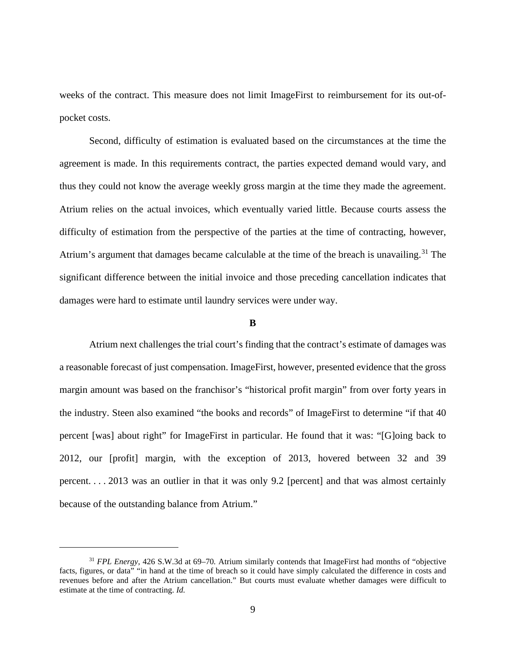weeks of the contract. This measure does not limit ImageFirst to reimbursement for its out-ofpocket costs.

Second, difficulty of estimation is evaluated based on the circumstances at the time the agreement is made. In this requirements contract, the parties expected demand would vary, and thus they could not know the average weekly gross margin at the time they made the agreement. Atrium relies on the actual invoices, which eventually varied little. Because courts assess the difficulty of estimation from the perspective of the parties at the time of contracting, however, Atrium's argument that damages became calculable at the time of the breach is unavailing.<sup>[31](#page-8-0)</sup> The significant difference between the initial invoice and those preceding cancellation indicates that damages were hard to estimate until laundry services were under way.

#### **B**

Atrium next challenges the trial court's finding that the contract's estimate of damages was a reasonable forecast of just compensation. ImageFirst, however, presented evidence that the gross margin amount was based on the franchisor's "historical profit margin" from over forty years in the industry. Steen also examined "the books and records" of ImageFirst to determine "if that 40 percent [was] about right" for ImageFirst in particular. He found that it was: "[G]oing back to 2012, our [profit] margin, with the exception of 2013, hovered between 32 and 39 percent. . . . 2013 was an outlier in that it was only 9.2 [percent] and that was almost certainly because of the outstanding balance from Atrium."

<span id="page-8-0"></span><sup>31</sup> *FPL Energy*, 426 S.W.3d at 69–70*.* Atrium similarly contends that ImageFirst had months of "objective facts, figures, or data" "in hand at the time of breach so it could have simply calculated the difference in costs and revenues before and after the Atrium cancellation." But courts must evaluate whether damages were difficult to estimate at the time of contracting. *Id.*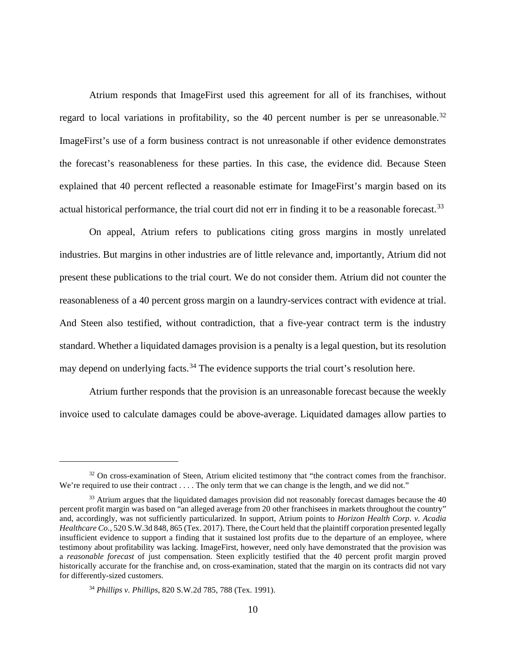Atrium responds that ImageFirst used this agreement for all of its franchises, without regard to local variations in profitability, so the 40 percent number is per se unreasonable.<sup>[32](#page-9-0)</sup> ImageFirst's use of a form business contract is not unreasonable if other evidence demonstrates the forecast's reasonableness for these parties. In this case, the evidence did. Because Steen explained that 40 percent reflected a reasonable estimate for ImageFirst's margin based on its actual historical performance, the trial court did not err in finding it to be a reasonable forecast.<sup>[33](#page-9-1)</sup>

On appeal, Atrium refers to publications citing gross margins in mostly unrelated industries. But margins in other industries are of little relevance and, importantly, Atrium did not present these publications to the trial court. We do not consider them. Atrium did not counter the reasonableness of a 40 percent gross margin on a laundry-services contract with evidence at trial. And Steen also testified, without contradiction, that a five-year contract term is the industry standard. Whether a liquidated damages provision is a penalty is a legal question, but its resolution may depend on underlying facts.<sup>[34](#page-9-2)</sup> The evidence supports the trial court's resolution here.

Atrium further responds that the provision is an unreasonable forecast because the weekly invoice used to calculate damages could be above-average. Liquidated damages allow parties to

<span id="page-9-0"></span><sup>&</sup>lt;sup>32</sup> On cross-examination of Steen, Atrium elicited testimony that "the contract comes from the franchisor. We're required to use their contract . . . . The only term that we can change is the length, and we did not."

<span id="page-9-1"></span> $33$  Atrium argues that the liquidated damages provision did not reasonably forecast damages because the 40 percent profit margin was based on "an alleged average from 20 other franchisees in markets throughout the country" and, accordingly, was not sufficiently particularized. In support, Atrium points to *Horizon Health Corp. v. Acadia Healthcare Co.*, 520 S.W.3d 848, 865 (Tex. 2017). There, the Court held that the plaintiff corporation presented legally insufficient evidence to support a finding that it sustained lost profits due to the departure of an employee, where testimony about profitability was lacking. ImageFirst, however, need only have demonstrated that the provision was a *reasonable forecast* of just compensation. Steen explicitly testified that the 40 percent profit margin proved historically accurate for the franchise and, on cross-examination, stated that the margin on its contracts did not vary for differently-sized customers.

<span id="page-9-2"></span><sup>34</sup> *Phillips v. Phillips*, 820 S.W.2d 785, 788 (Tex. 1991).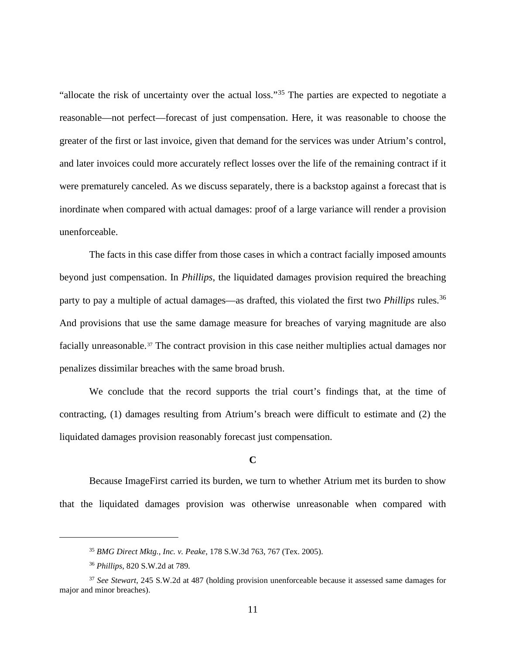"allocate the risk of uncertainty over the actual loss."[35](#page-10-0) The parties are expected to negotiate a reasonable—not perfect—forecast of just compensation. Here, it was reasonable to choose the greater of the first or last invoice, given that demand for the services was under Atrium's control, and later invoices could more accurately reflect losses over the life of the remaining contract if it were prematurely canceled. As we discuss separately, there is a backstop against a forecast that is inordinate when compared with actual damages: proof of a large variance will render a provision unenforceable.

The facts in this case differ from those cases in which a contract facially imposed amounts beyond just compensation. In *Phillips*, the liquidated damages provision required the breaching party to pay a multiple of actual damages—as drafted, this violated the first two *Phillips* rules. [36](#page-10-1) And provisions that use the same damage measure for breaches of varying magnitude are also facially unreasonable.<sup>[37](#page-10-2)</sup> The contract provision in this case neither multiplies actual damages nor penalizes dissimilar breaches with the same broad brush.

We conclude that the record supports the trial court's findings that, at the time of contracting, (1) damages resulting from Atrium's breach were difficult to estimate and (2) the liquidated damages provision reasonably forecast just compensation.

#### **C**

Because ImageFirst carried its burden, we turn to whether Atrium met its burden to show that the liquidated damages provision was otherwise unreasonable when compared with

<sup>35</sup> *BMG Direct Mktg., Inc. v. Peake*, 178 S.W.3d 763, 767 (Tex. 2005).

<sup>36</sup> *Phillips*, 820 S.W.2d at 789*.*

<span id="page-10-2"></span><span id="page-10-1"></span><span id="page-10-0"></span><sup>37</sup> *See Stewart*, 245 S.W.2d at 487 (holding provision unenforceable because it assessed same damages for major and minor breaches).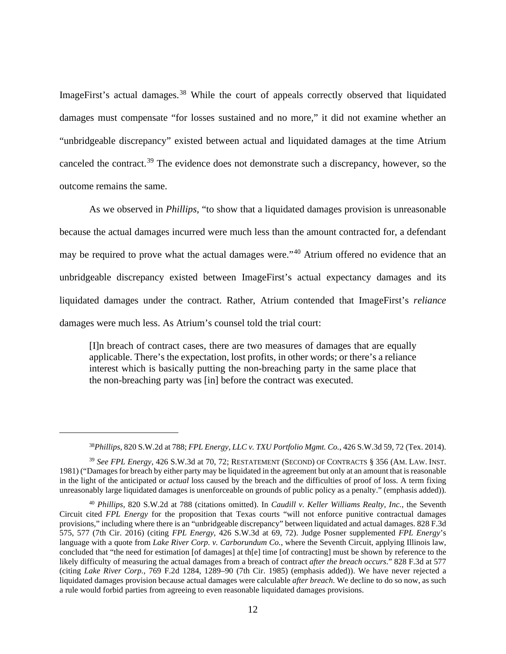ImageFirst's actual damages.<sup>[38](#page-11-0)</sup> While the court of appeals correctly observed that liquidated damages must compensate "for losses sustained and no more," it did not examine whether an "unbridgeable discrepancy" existed between actual and liquidated damages at the time Atrium canceled the contract.<sup>[39](#page-11-1)</sup> The evidence does not demonstrate such a discrepancy, however, so the outcome remains the same.

As we observed in *Phillips*, "to show that a liquidated damages provision is unreasonable because the actual damages incurred were much less than the amount contracted for, a defendant may be required to prove what the actual damages were."<sup>[40](#page-11-2)</sup> Atrium offered no evidence that an unbridgeable discrepancy existed between ImageFirst's actual expectancy damages and its liquidated damages under the contract. Rather, Atrium contended that ImageFirst's *reliance* damages were much less. As Atrium's counsel told the trial court:

[I]n breach of contract cases, there are two measures of damages that are equally applicable. There's the expectation, lost profits, in other words; or there's a reliance interest which is basically putting the non-breaching party in the same place that the non-breaching party was [in] before the contract was executed.

<sup>38</sup>*Phillips*, 820 S.W.2d at 788; *FPL Energy, LLC v. TXU Portfolio Mgmt. Co.*, 426 S.W.3d 59, 72 (Tex. 2014).

<span id="page-11-1"></span><span id="page-11-0"></span><sup>39</sup> *See FPL Energy*, 426 S.W.3d at 70, 72; RESTATEMENT (SECOND) OF CONTRACTS § 356 (AM. LAW. INST. 1981) ("Damages for breach by either party may be liquidated in the agreement but only at an amount that is reasonable in the light of the anticipated or *actual* loss caused by the breach and the difficulties of proof of loss. A term fixing unreasonably large liquidated damages is unenforceable on grounds of public policy as a penalty." (emphasis added)).

<span id="page-11-2"></span><sup>40</sup> *Phillips*, 820 S.W.2d at 788 (citations omitted). In *Caudill v. Keller Williams Realty, Inc.*, the Seventh Circuit cited *FPL Energy* for the proposition that Texas courts "will not enforce punitive contractual damages provisions," including where there is an "unbridgeable discrepancy" between liquidated and actual damages. 828 F.3d 575, 577 (7th Cir. 2016) (citing *FPL Energy*, 426 S.W.3d at 69, 72). Judge Posner supplemented *FPL Energy*'s language with a quote from *Lake River Corp. v. Carborundum Co.*, where the Seventh Circuit, applying Illinois law, concluded that "the need for estimation [of damages] at th[e] time [of contracting] must be shown by reference to the likely difficulty of measuring the actual damages from a breach of contract *after the breach occurs*." 828 F.3d at 577 (citing *Lake River Corp.*, 769 F.2d 1284, 1289–90 (7th Cir. 1985) (emphasis added)). We have never rejected a liquidated damages provision because actual damages were calculable *after breach*. We decline to do so now, as such a rule would forbid parties from agreeing to even reasonable liquidated damages provisions.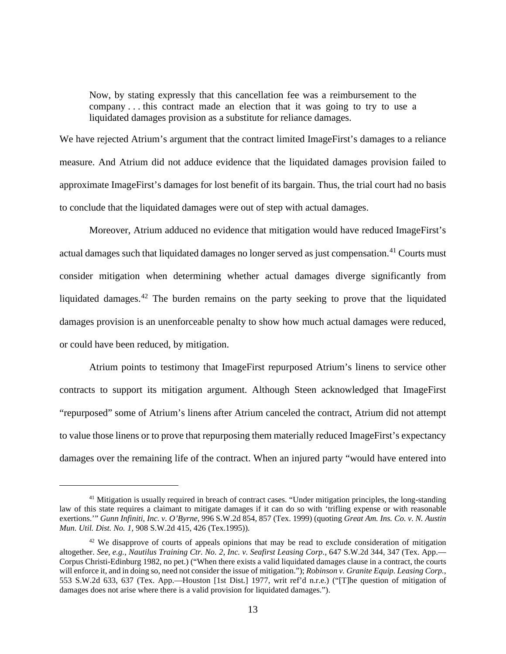Now, by stating expressly that this cancellation fee was a reimbursement to the company . . . this contract made an election that it was going to try to use a liquidated damages provision as a substitute for reliance damages.

We have rejected Atrium's argument that the contract limited ImageFirst's damages to a reliance measure. And Atrium did not adduce evidence that the liquidated damages provision failed to approximate ImageFirst's damages for lost benefit of its bargain. Thus, the trial court had no basis to conclude that the liquidated damages were out of step with actual damages.

Moreover, Atrium adduced no evidence that mitigation would have reduced ImageFirst's actual damages such that liquidated damages no longer served as just compensation.<sup>[41](#page-12-0)</sup> Courts must consider mitigation when determining whether actual damages diverge significantly from liquidated damages.<sup>[42](#page-12-1)</sup> The burden remains on the party seeking to prove that the liquidated damages provision is an unenforceable penalty to show how much actual damages were reduced, or could have been reduced, by mitigation.

Atrium points to testimony that ImageFirst repurposed Atrium's linens to service other contracts to support its mitigation argument. Although Steen acknowledged that ImageFirst "repurposed" some of Atrium's linens after Atrium canceled the contract, Atrium did not attempt to value those linens or to prove that repurposing them materially reduced ImageFirst's expectancy damages over the remaining life of the contract. When an injured party "would have entered into

<span id="page-12-0"></span><sup>&</sup>lt;sup>41</sup> Mitigation is usually required in breach of contract cases. "Under mitigation principles, the long-standing law of this state requires a claimant to mitigate damages if it can do so with 'trifling expense or with reasonable exertions.'" *Gunn Infiniti, Inc. v. O'Byrne*, 996 S.W.2d 854, 857 (Tex. 1999) (quoting *Great Am. Ins. Co. v. N. Austin Mun. Util. Dist. No. 1,* 908 S.W.2d 415, 426 (Tex.1995)).

<span id="page-12-1"></span> $42$  We disapprove of courts of appeals opinions that may be read to exclude consideration of mitigation altogether. *See, e.g.*, *Nautilus Training Ctr. No. 2, Inc. v. Seafirst Leasing Corp.*, 647 S.W.2d 344, 347 (Tex. App.— Corpus Christi-Edinburg 1982, no pet.) ("When there exists a valid liquidated damages clause in a contract, the courts will enforce it, and in doing so, need not consider the issue of mitigation."); *Robinson v. Granite Equip. Leasing Corp.*, 553 S.W.2d 633, 637 (Tex. App.—Houston [1st Dist.] 1977, writ ref'd n.r.e.) ("[T]he question of mitigation of damages does not arise where there is a valid provision for liquidated damages.").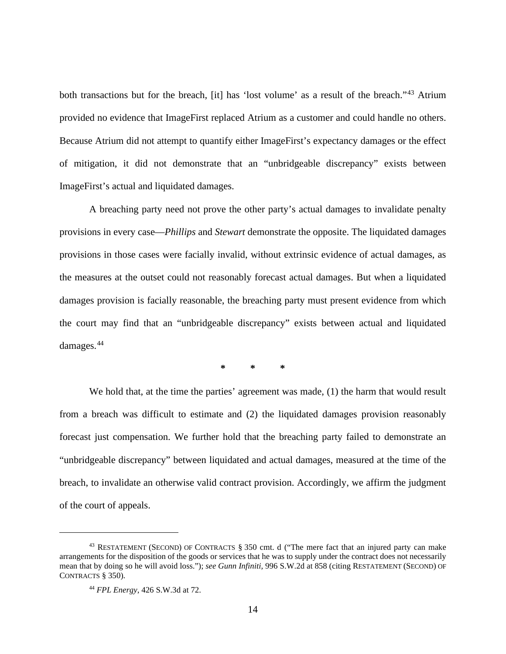both transactions but for the breach, [it] has 'lost volume' as a result of the breach."<sup>[43](#page-13-0)</sup> Atrium provided no evidence that ImageFirst replaced Atrium as a customer and could handle no others. Because Atrium did not attempt to quantify either ImageFirst's expectancy damages or the effect of mitigation, it did not demonstrate that an "unbridgeable discrepancy" exists between ImageFirst's actual and liquidated damages.

A breaching party need not prove the other party's actual damages to invalidate penalty provisions in every case—*Phillips* and *Stewart* demonstrate the opposite. The liquidated damages provisions in those cases were facially invalid, without extrinsic evidence of actual damages, as the measures at the outset could not reasonably forecast actual damages. But when a liquidated damages provision is facially reasonable, the breaching party must present evidence from which the court may find that an "unbridgeable discrepancy" exists between actual and liquidated damages.[44](#page-13-1)

**\* \* \***

We hold that, at the time the parties' agreement was made, (1) the harm that would result from a breach was difficult to estimate and (2) the liquidated damages provision reasonably forecast just compensation. We further hold that the breaching party failed to demonstrate an "unbridgeable discrepancy" between liquidated and actual damages, measured at the time of the breach, to invalidate an otherwise valid contract provision. Accordingly, we affirm the judgment of the court of appeals.

<span id="page-13-1"></span><span id="page-13-0"></span><sup>43</sup> RESTATEMENT (SECOND) OF CONTRACTS § 350 cmt. d ("The mere fact that an injured party can make arrangements for the disposition of the goods or services that he was to supply under the contract does not necessarily mean that by doing so he will avoid loss."); *see Gunn Infiniti,* 996 S.W.2d at 858 (citing RESTATEMENT (SECOND) OF CONTRACTS § 350).

<sup>44</sup> *FPL Energy*, 426 S.W.3d at 72.